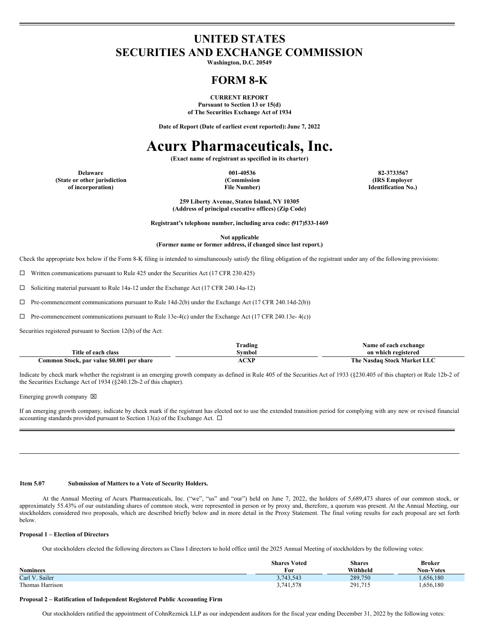## **UNITED STATES SECURITIES AND EXCHANGE COMMISSION**

**Washington, D.C. 20549**

## **FORM 8-K**

**CURRENT REPORT Pursuant to Section 13 or 15(d) of The Securities Exchange Act of 1934**

**Date of Report (Date of earliest event reported):June 7, 2022**

# **Acurx Pharmaceuticals, Inc.**

**(Exact name of registrant as specified in its charter)**

**(State or other jurisdiction of incorporation)**

**(Commission File Number)**

**Delaware 001-40536 82-3733567 (IRS Employer Identification No.)**

> **259 Liberty Avenue, Staten Island, NY 10305 (Address of principal executive offices) (Zip Code)**

**Registrant's telephone number, including area code: (917)533-1469**

**Not applicable (Former name or former address, if changed since last report.)**

Check the appropriate box below if the Form 8-K filing is intended to simultaneously satisfy the filing obligation of the registrant under any of the following provisions:

 $\Box$  Written communications pursuant to Rule 425 under the Securities Act (17 CFR 230.425)

¨ Soliciting material pursuant to Rule 14a-12 under the Exchange Act (17 CFR 240.14a-12)

 $\Box$  Pre-commencement communications pursuant to Rule 14d-2(b) under the Exchange Act (17 CFR 240.14d-2(b))

 $\Box$  Pre-commencement communications pursuant to Rule 13e-4(c) under the Exchange Act (17 CFR 240.13e- 4(c))

Securities registered pursuant to Section 12(b) of the Act:

|                                           | l'rading  | Name of each exchange       |
|-------------------------------------------|-----------|-----------------------------|
| Title of each class                       | Svmbol    | on which registered         |
| Common Stock, par value \$0.001 per share | $\sim$ vd | The Nasdag Stock Market LLC |

Indicate by check mark whether the registrant is an emerging growth company as defined in Rule 405 of the Securities Act of 1933 (§230.405 of this chapter) or Rule 12b-2 of the Securities Exchange Act of 1934 (§240.12b-2 of this chapter).

Emerging growth company  $\boxtimes$ 

If an emerging growth company, indicate by check mark if the registrant has elected not to use the extended transition period for complying with any new or revised financial accounting standards provided pursuant to Section 13(a) of the Exchange Act.  $\Box$ 

#### **Item 5.07 Submission of Matters to a Vote of Security Holders.**

At the Annual Meeting of Acurx Pharmaceuticals, Inc. ("we", "us" and "our") held on June 7, 2022, the holders of 5,689,473 shares of our common stock, or approximately 55.43% of our outstanding shares of common stock, were represented in person or by proxy and, therefore, a quorum was present. At the Annual Meeting, our stockholders considered two proposals, which are described briefly below and in more detail in the Proxy Statement. The final voting results for each proposal are set forth below.

#### **Proposal 1 – Election of Directors**

Our stockholders elected the following directors as Class I directors to hold office until the 2025 Annual Meeting of stockholders by the following votes:

|                 | <b>Shares Voted</b> | <b>Shares</b> | <b>Broker</b>    |
|-----------------|---------------------|---------------|------------------|
| <b>Nominees</b> | For                 | Withheld      | <b>Non-Votes</b> |
| Carl V. Sailer  | 3,743,543           | 289,750       | 1,656,180        |
| Thomas Harrison | 3,741,578           | 291,715       | 1,656,180        |

#### **Proposal 2 – Ratification of Independent Registered Public Accounting Firm**

Our stockholders ratified the appointment of CohnReznick LLP as our independent auditors for the fiscal year ending December 31, 2022 by the following votes: